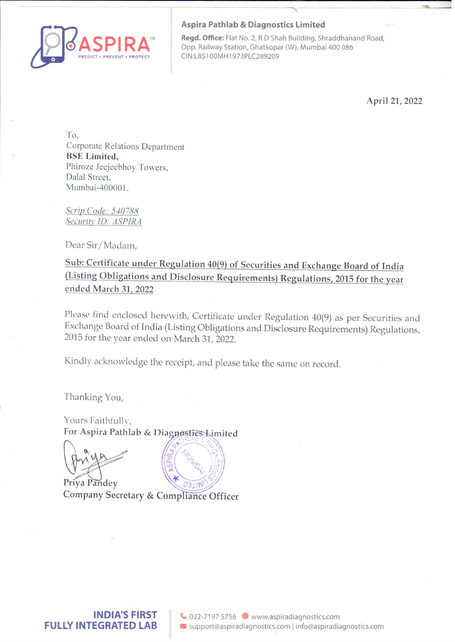

## Aspira Pathlab & Diagnostics Limited

Regd. Office: Flat No. 2, R D Shah Building, Shraddhanand Road, Opp. Railway Station, Ghatkopar (W), Mumbai 400 086 PREDICT © PREVENT \* PROTECT CIN:L85100MH1973PLC289209

April 21, 2022

To, Corporate Relations Department BSE Limited, Phiroze Jeejeebhoy Towers, Dalal Street, Mumbai-400001.

Scrip Code: 540788 Security **ID**: ASPIRA

Dear Sir/Madam,

Sub: Certificate under Regulation 40(9) of Securities and Exchange Board of India (Listing Obligations and Disclosure Requirements) Regulations, 2015 for the year ended March 31, 2022

Please find enclosed herewith, Certificate under Regulation 40(9) as per Securities and Exchange Board of India (Listing Obligations and Disclosure Requirements) Regulations, 2015 for the year ended on March 31, 2022.

Kindly acknowledge the receipt, and please take the same on record.

Thanking You,

Yours Faithfully, For Aspira Pathlab & Dia

a



Priya Pandey Company Secretary & Compliance Officer

**FU** IND<br>Y INTEGR